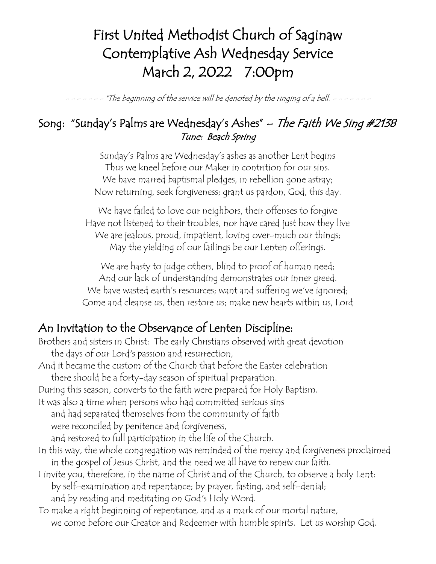## First United Methodist Church of Saginaw Contemplative Ash Wednesday Service March 2, 2022 7:00pm

- $-$  \*The beginning of the service will be denoted by the ringing of a bell.  $-$  - - - - - -

## Song: "Sunday's Palms are Wednesday's Ashes" – The Faith We Sing #2138 Tune: Beach Spring

Sunday's Palms are Wednesday's ashes as another Lent begins Thus we kneel before our Maker in contrition for our sins. We have marred baptismal pledges, in rebellion gone astray; Now returning, seek forgiveness; grant us pardon, God, this day.

We have failed to love our neighbors, their offenses to forgive Have not listened to their troubles, nor have cared just how they live We are jealous, proud, impatient, loving over-much our things; May the yielding of our failings be our Lenten offerings.

We are hasty to judge others, blind to proof of human need; And our lack of understanding demonstrates our inner greed. We have wasted earth's resources; want and suffering we've ignored; Come and cleanse us, then restore us; make new hearts within us, Lord

## An Invitation to the Observance of Lenten Discipline:

Brothers and sisters in Christ: The early Christians observed with great devotion the days of our Lord's passion and resurrection, And it became the custom of the Church that before the Easter celebration there should be a forty-day season of spiritual preparation. During this season, converts to the faith were prepared for Holy Baptism. It was also a time when persons who had committed serious sins and had separated themselves from the community of faith were reconciled by penitence and forgiveness, and restored to full participation in the life of the Church. In this way, the whole congregation was reminded of the mercy and forgiveness proclaimed in the gospel of Jesus Christ, and the need we all have to renew our faith. I invite you, therefore, in the name of Christ and of the Church, to observe a holy Lent: by self–examination and repentance; by prayer, fasting, and self–denial; and by reading and meditating on God's Holy Word. To make a right beginning of repentance, and as a mark of our mortal nature, we come before our Creator and Redeemer with humble spirits. Let us worship God.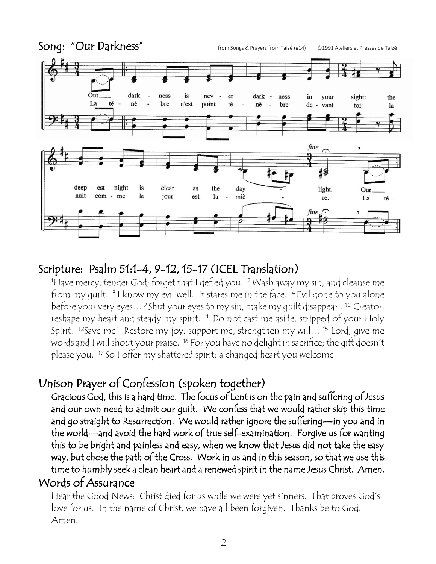

## Scripture: Psalm 51:1-4, 9-12, 15-17 (ICEL Translation)

 $^{\rm 1}$ Have mercy, tender God; forget that I defied you.  $^{\rm 2}$  Wash away my sin, and cleanse mefrom my guilt. 31 know my evil well. It stares me in the face. 4 Evil done to you alone before your very eyes… <sup>9</sup> Shut your eyes to my sin, make my quilt disappear.. <sup>10</sup> Creator, I reshape my heart and steady my spirit. <sup>11</sup> Do not cast me aside, stripped of your Holy Spirit. <sup>12</sup>Save me! Restore my joy, support me, strengthen my will… <sup>15</sup> Lord, give me words and I will shout your praise. <sup>16</sup> For you have no delight in sacrifice; the gift doesn't please you. <sup>17</sup> So I offer my shattered spirit; a changed heart you welcome.

## Unison Prayer of Confession (spoken together)

Gracious God, this is a hard time. The focus of Lent is on the pain and suffering of Jesus and our own need to admit our guilt. We confess that we would rather skip this time and go straight to Resurrection. We would rather ignore the suffering—in you and in the world—and avoid the hard work of true self-examination. Forgive us for wanting this to be bright and painless and easy, when we know that Jesus did not take the easy way, but chose the path of the Cross. Work in us and in this season, so that we use this time to humbly seek a clean heart and a renewed spirit in the name Jesus Christ. Amen.

## Words of Assurance

Hear the Good News: Christ died for us while we were yet sinners. That proves God's love for us. In the name of Christ, we have all been forgiven. Thanks be to God. Amen.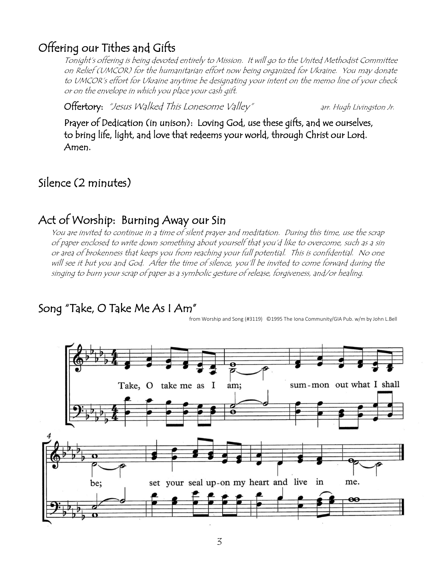#### Offering our Tithes and Gifts

Tonight's offering is being devoted entirely to Mission. It will go to the United Methodist Committee on Relief (UMCOR) for the humanitarian effort now being organized for Ukraine. You may donate to UMCOR's effort for Ukraine anytime be designating your intent on the memo line of your check or on the envelope in which you place your cash gift.

Offertory: "Jesus Walked This Lonesome Valley" arr. Hugh Livingston Jr.

 Prayer of Dedication (in unison): Loving God, use these gifts, and we ourselves, to bring life, light, and love that redeems your world, through Christ our Lord. Amen.

#### Silence (2 minutes)

#### Act of Worship: Burning Away our Sin

You are invited to continue in a time of silent prayer and meditation. During this time, use the scrap of paper enclosed to write down something about yourself that you'd like to overcome, such as a sin or area of brokenness that keeps you from reaching your full potential. This is confidential. No one will see it but you and God. After the time of silence, you'll be invited to come forward during the singing to burn your scrap of paper as a symbolic gesture of release, forgiveness, and/or healing.

#### Song "Take, O Take Me As I Am"

from Worship and Song (#3119) ©1995 The Iona Community/GIA Pub. w/m by John L.Bell

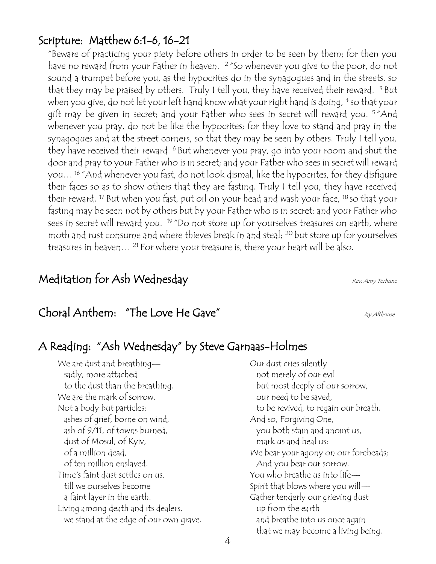#### Scripture: Matthew 6:1-6, 16-21

"Beware of practicing your piety before others in order to be seen by them; for then you have no reward from your Father in heaven. 2 "So whenever you give to the poor, do not sound a trumpet before you, as the hypocrites do in the synagogues and in the streets, so that they may be praised by others. Truly I tell you, they have received their reward.  $3$  But when you give, do not let your left hand know what your right hand is doing, <sup>4</sup> so that your gift may be given in secret; and your Father who sees in secret will reward you. <sup>5</sup> "And whenever you pray, do not be like the hypocrites; for they love to stand and pray in the synagogues and at the street corners, so that they may be seen by others. Truly I tell you, they have received their reward. <sup>6</sup> But whenever you pray, go into your room and shut the door and pray to your Father who is in secret; and your Father who sees in secret will reward you… <sup>16</sup> "And whenever you fast, do not look dismal, like the hypocrites, for they disfigure their faces so as to show others that they are fasting. Truly I tell you, they have received their reward. <sup>17</sup> But when you fast, put oil on your head and wash your face, <sup>18</sup> so that your fasting may be seen not by others but by your Father who is in secret; and your Father who sees in secret will reward you. <sup>19</sup> "Do not store up for yourselves treasures on earth, where moth and rust consume and where thieves break in and steal; <sup>20</sup> but store up for yourselves treasures in heaven...<sup>21</sup> For where your treasure is, there your heart will be also.

#### Meditation for Ash Wednesday Measure of the Rev. Amy Terhune

# Choral Anthem: "The Love He Gave" Jay Althouse

## A Reading: "Ash Wednesday" by Steve Garnaas-Holmes

We are dust and breathing sadly, more attached to the dust than the breathing. We are the mark of sorrow. Not a body but particles: ashes of grief, borne on wind, ash of 9/11, of towns burned, dust of Mosul, of Kyiv, of a million dead, of ten million enslaved. Time's faint dust settles on us, till we ourselves become a faint layer in the earth. Living among death and its dealers, we stand at the edge of our own grave.

Our dust cries silently not merely of our evil but most deeply of our sorrow, our need to be saved, to be revived, to regain our breath. And so, Forgiving One, you both stain and anoint us, mark us and heal us: We bear your agony on our foreheads; And you bear our sorrow. You who breathe us into life— Spirit that blows where you will— Gather tenderly our grieving dust up from the earth and breathe into us once again that we may become a living being.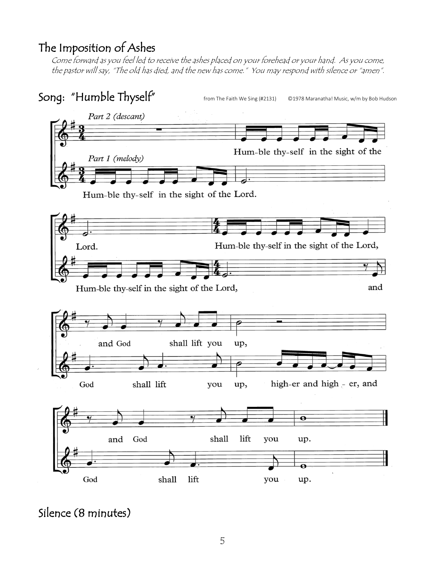## The Imposition of Ashes

Come forward as you feel led to receive the ashes placed on your forehead or your hand. As you come, the pastor will say, "The old has died, and the new has come." You may respond with silence or "amen".



#### Silence (8 minutes)